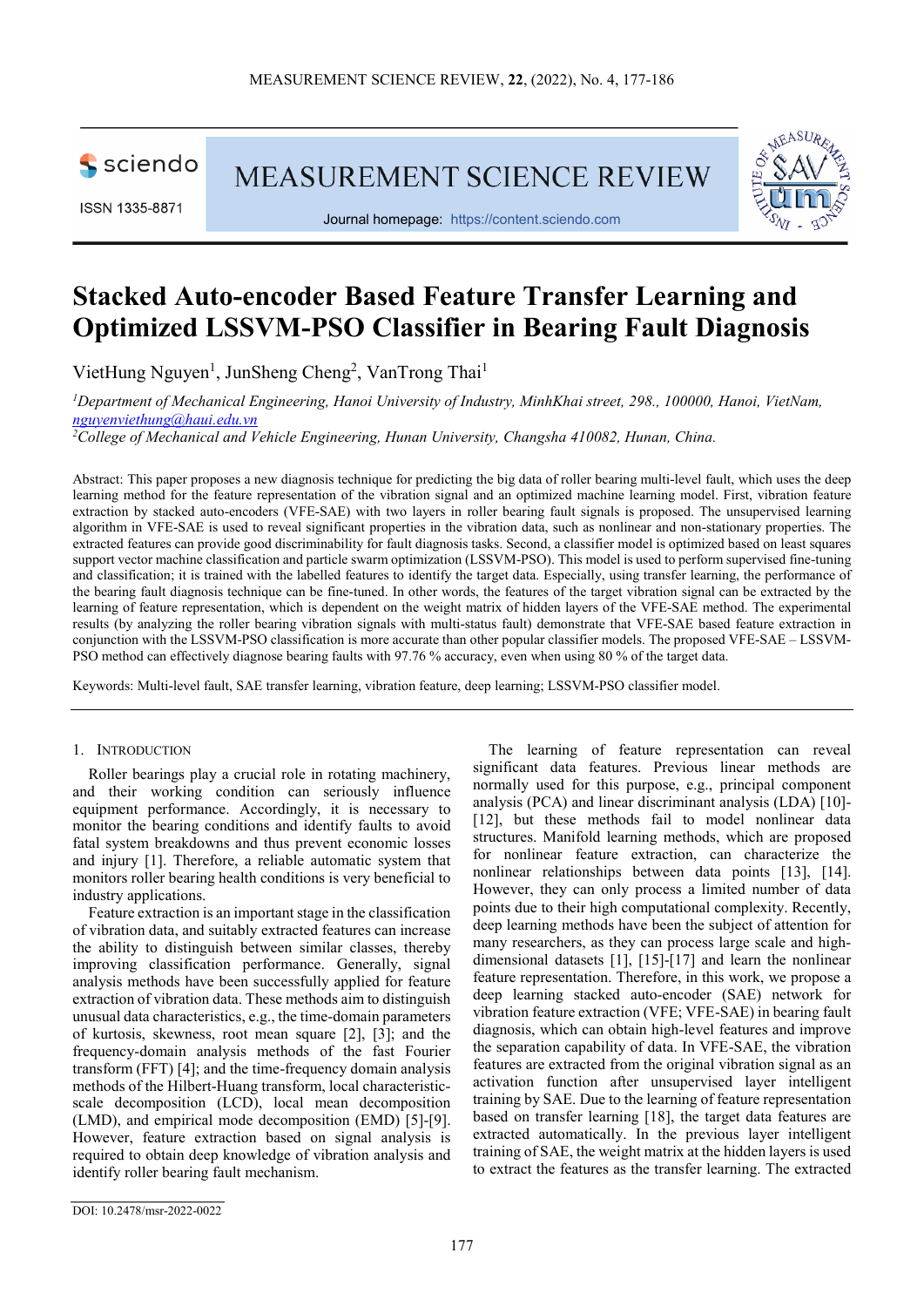

ISSN 1335-8871

MEASUREMENT SCIENCE REVIEW



Journal homepage: [https://content.sciendo.com](https://content.sciendo.com/view/journals/msr/msr-overview.xml)

# **Stacked Auto-encoder Based Feature Transfer Learning and Optimized LSSVM-PSO Classifier in Bearing Fault Diagnosis**

VietHung Nguyen<sup>1</sup>, JunSheng Cheng<sup>2</sup>, VanTrong Thai<sup>1</sup>

*1 Department of Mechanical Engineering, Hanoi University of Industry, MinhKhai street, 298., 100000, Hanoi, VietNam, [nguyenviethung@haui.edu.vn](mailto:nguyenviethung@haui.edu.vn)*

*2 College of Mechanical and Vehicle Engineering, Hunan University, Changsha 410082, Hunan, China.*

Abstract: This paper proposes a new diagnosis technique for predicting the big data of roller bearing multi-level fault, which uses the deep learning method for the feature representation of the vibration signal and an optimized machine learning model. First, vibration feature extraction by stacked auto-encoders (VFE-SAE) with two layers in roller bearing fault signals is proposed. The unsupervised learning algorithm in VFE-SAE is used to reveal significant properties in the vibration data, such as nonlinear and non-stationary properties. The extracted features can provide good discriminability for fault diagnosis tasks. Second, a classifier model is optimized based on least squares support vector machine classification and particle swarm optimization (LSSVM-PSO). This model is used to perform supervised fine-tuning and classification; it is trained with the labelled features to identify the target data. Especially, using transfer learning, the performance of the bearing fault diagnosis technique can be fine-tuned. In other words, the features of the target vibration signal can be extracted by the learning of feature representation, which is dependent on the weight matrix of hidden layers of the VFE-SAE method. The experimental results (by analyzing the roller bearing vibration signals with multi-status fault) demonstrate that VFE-SAE based feature extraction in conjunction with the LSSVM-PSO classification is more accurate than other popular classifier models. The proposed VFE-SAE – LSSVM-PSO method can effectively diagnose bearing faults with 97.76 % accuracy, even when using 80 % of the target data.

Keywords: Multi-level fault, SAE transfer learning, vibration feature, deep learning; LSSVM-PSO classifier model.

# 1. INTRODUCTION

Roller bearings play a crucial role in rotating machinery, and their working condition can seriously influence equipment performance. Accordingly, it is necessary to monitor the bearing conditions and identify faults to avoid fatal system breakdowns and thus prevent economic losses and injury [1]. Therefore, a reliable automatic system that monitors roller bearing health conditions is very beneficial to industry applications.

Feature extraction is an important stage in the classification of vibration data, and suitably extracted features can increase the ability to distinguish between similar classes, thereby improving classification performance. Generally, signal analysis methods have been successfully applied for feature extraction of vibration data. These methods aim to distinguish unusual data characteristics, e.g., the time-domain parameters of kurtosis, skewness, root mean square [2], [3]; and the frequency-domain analysis methods of the fast Fourier transform (FFT) [4]; and the time-frequency domain analysis methods of the Hilbert-Huang transform, local characteristicscale decomposition (LCD), local mean decomposition (LMD), and empirical mode decomposition (EMD) [5]-[9]. However, feature extraction based on signal analysis is required to obtain deep knowledge of vibration analysis and identify roller bearing fault mechanism.

The learning of feature representation can reveal significant data features. Previous linear methods are normally used for this purpose, e.g., principal component analysis (PCA) and linear discriminant analysis (LDA) [10]- [12], but these methods fail to model nonlinear data structures. Manifold learning methods, which are proposed for nonlinear feature extraction, can characterize the nonlinear relationships between data points [13], [14]. However, they can only process a limited number of data points due to their high computational complexity. Recently, deep learning methods have been the subject of attention for many researchers, as they can process large scale and highdimensional datasets [1], [15]-[17] and learn the nonlinear feature representation. Therefore, in this work, we propose a deep learning stacked auto-encoder (SAE) network for vibration feature extraction (VFE; VFE-SAE) in bearing fault diagnosis, which can obtain high-level features and improve the separation capability of data. In VFE-SAE, the vibration features are extracted from the original vibration signal as an activation function after unsupervised layer intelligent training by SAE. Due to the learning of feature representation based on transfer learning [18], the target data features are extracted automatically. In the previous layer intelligent training of SAE, the weight matrix at the hidden layers is used to extract the features as the transfer learning. The extracted

DOI: 10.2478/msr-2022-0022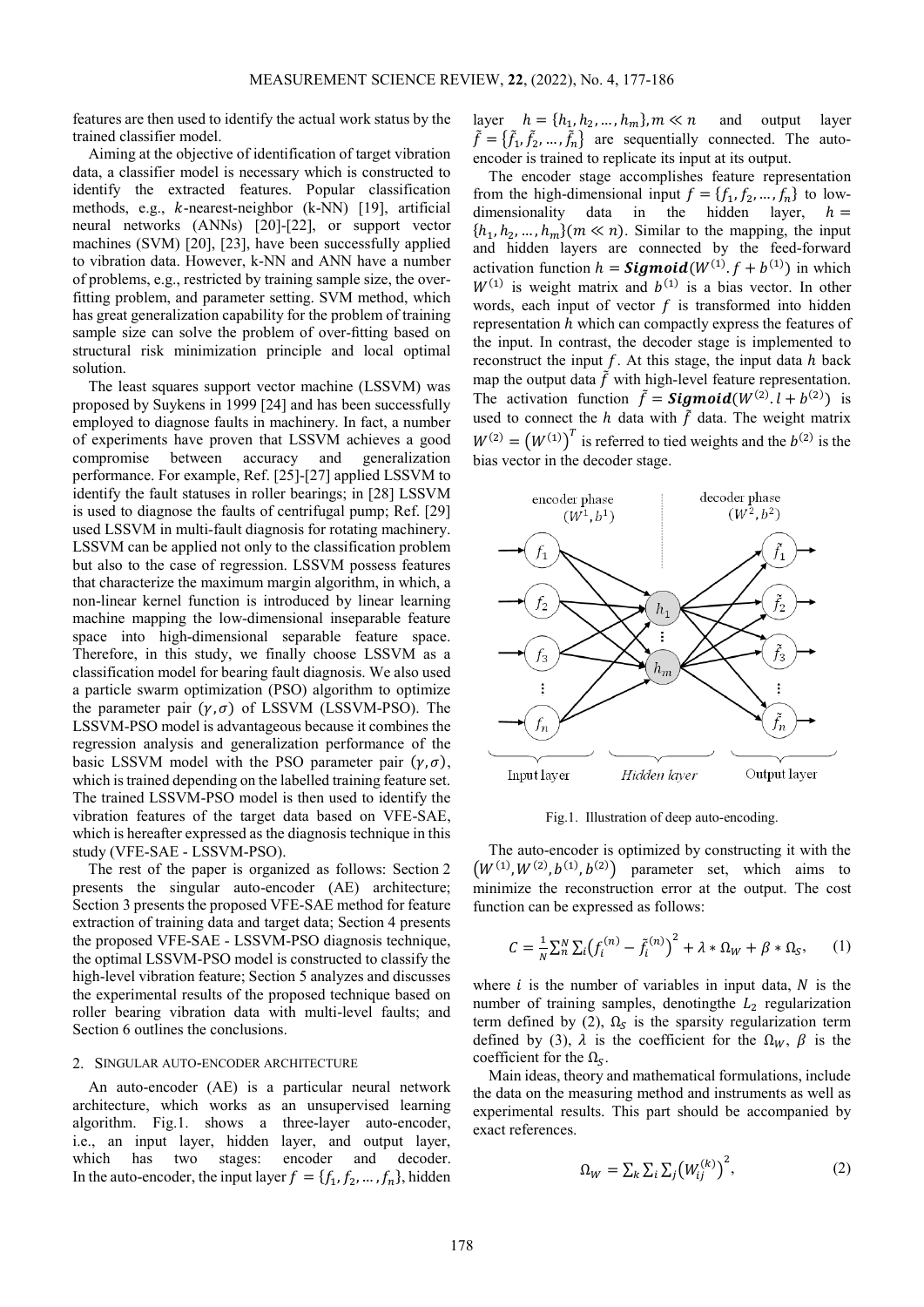features are then used to identify the actual work status by the trained classifier model.

Aiming at the objective of identification of target vibration data, a classifier model is necessary which is constructed to identify the extracted features. Popular classification methods, e.g.,  $k$ -nearest-neighbor (k-NN) [19], artificial neural networks (ANNs) [20]-[22], or support vector machines (SVM) [20], [23], have been successfully applied to vibration data. However, k-NN and ANN have a number of problems, e.g., restricted by training sample size, the overfitting problem, and parameter setting. SVM method, which has great generalization capability for the problem of training sample size can solve the problem of over-fitting based on structural risk minimization principle and local optimal solution.

The least squares support vector machine (LSSVM) was proposed by Suykens in 1999 [24] and has been successfully employed to diagnose faults in machinery. In fact, a number of experiments have proven that LSSVM achieves a good compromise between accuracy and generalization performance. For example, Ref. [25]-[27] applied LSSVM to identify the fault statuses in roller bearings; in [28] LSSVM is used to diagnose the faults of centrifugal pump; Ref. [29] used LSSVM in multi-fault diagnosis for rotating machinery. LSSVM can be applied not only to the classification problem but also to the case of regression. LSSVM possess features that characterize the maximum margin algorithm, in which, a non-linear kernel function is introduced by linear learning machine mapping the low-dimensional inseparable feature space into high-dimensional separable feature space. Therefore, in this study, we finally choose LSSVM as a classification model for bearing fault diagnosis. We also used a particle swarm optimization (PSO) algorithm to optimize the parameter pair  $(\gamma, \sigma)$  of LSSVM (LSSVM-PSO). The LSSVM-PSO model is advantageous because it combines the regression analysis and generalization performance of the basic LSSVM model with the PSO parameter pair  $(v, \sigma)$ , which is trained depending on the labelled training feature set. The trained LSSVM-PSO model is then used to identify the vibration features of the target data based on VFE-SAE, which is hereafter expressed as the diagnosis technique in this study (VFE-SAE - LSSVM-PSO).

The rest of the paper is organized as follows: Section 2 presents the singular auto-encoder (AE) architecture; Section 3 presents the proposed VFE-SAE method for feature extraction of training data and target data; Section 4 presents the proposed VFE-SAE - LSSVM-PSO diagnosis technique, the optimal LSSVM-PSO model is constructed to classify the high-level vibration feature; Section 5 analyzes and discusses the experimental results of the proposed technique based on roller bearing vibration data with multi-level faults; and Section 6 outlines the conclusions.

## 2. SINGULAR AUTO-ENCODER ARCHITECTURE

An auto-encoder (AE) is a particular neural network architecture, which works as an unsupervised learning algorithm. Fig.1. shows a three-layer auto-encoder, i.e., an input layer, hidden layer, and output layer, which has two stages: encoder and decoder. In the auto-encoder, the input layer  $f = \{f_1, f_2, ..., f_n\}$ , hidden

layer  $h = \{h_1, h_2, ..., h_m\}$ ,  $m \ll n$  and output layer  $\hat{f} = \{\hat{f}_1, \hat{f}_2, \dots, \hat{f}_n\}$  are sequentially connected. The autoencoder is trained to replicate its input at its output.

The encoder stage accomplishes feature representation from the high-dimensional input  $f = \{f_1, f_2, ..., f_n\}$  to low-<br>dimensionality data in the hidden layer,  $h =$ the hidden layer,  ${h_1, h_2, ..., h_m}(m \ll n)$ . Similar to the mapping, the input and hidden layers are connected by the feed-forward activation function  $h =$  **Sigmoid**( $W^{(1)}$ ,  $f + b^{(1)}$ ) in which  $W^{(1)}$  is weight matrix and  $b^{(1)}$  is a bias vector. In other words, each input of vector  $f$  is transformed into hidden representation  $h$  which can compactly express the features of the input. In contrast, the decoder stage is implemented to reconstruct the input  $f$ . At this stage, the input data  $h$  back map the output data  $\tilde{f}$  with high-level feature representation. The activation function  $\hat{f} = Sigmoid(W^{(2)} \cdot l + b^{(2)})$  is used to connect the *h* data with  $\tilde{f}$  data. The weight matrix  $W^{(2)} = (W^{(1)})^T$  is referred to tied weights and the  $b^{(2)}$  is the bias vector in the decoder stage.



Fig.1. Illustration of deep auto-encoding.

The auto-encoder is optimized by constructing it with the  $(W^{(1)}, W^{(2)}, b^{(1)}, b^{(2)})$  parameter set, which aims to minimize the reconstruction error at the output. The cost function can be expressed as follows:

$$
C = \frac{1}{N} \sum_{n=1}^{N} \sum_{i} (f_i^{(n)} - \tilde{f}_i^{(n)})^2 + \lambda * \Omega_W + \beta * \Omega_S, \qquad (1)
$$

where  $i$  is the number of variables in input data,  $N$  is the number of training samples, denoting the  $L_2$  regularization term defined by (2),  $\Omega_s$  is the sparsity regularization term defined by (3),  $\lambda$  is the coefficient for the  $\Omega_W$ ,  $\beta$  is the coefficient for the  $\Omega_{\rm S}$ .

Main ideas, theory and mathematical formulations, include the data on the measuring method and instruments as well as experimental results. This part should be accompanied by exact references.

$$
\Omega_W = \sum_k \sum_i \sum_j \bigl( W_{ij}^{(k)} \bigr)^2, \tag{2}
$$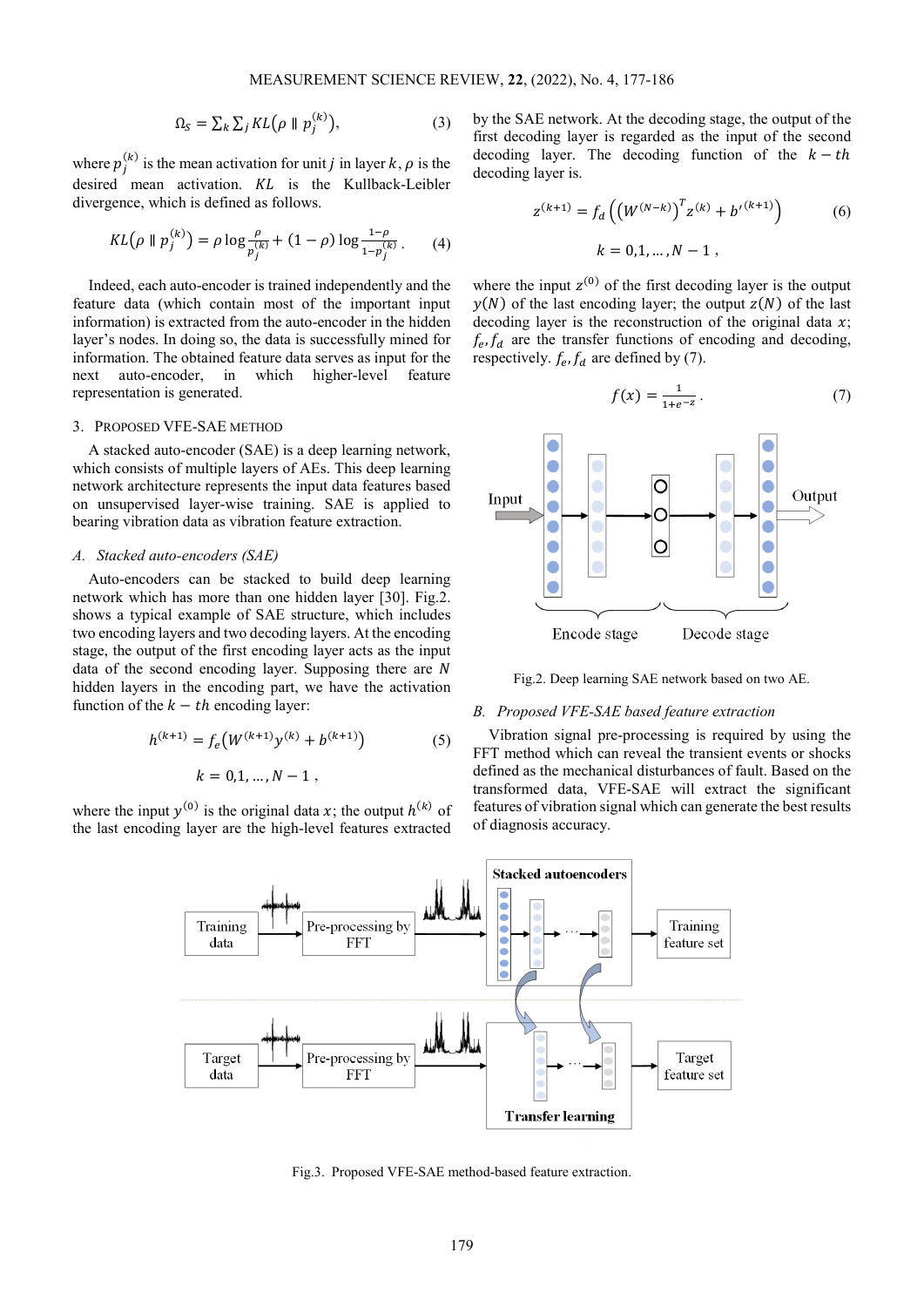$$
\Omega_S = \sum_k \sum_j KL(\rho \parallel p_j^{(k)}),\tag{3}
$$

where  $p_i^{(k)}$  is the mean activation for unit *j* in layer k,  $\rho$  is the desired mean activation.  $KL$  is the Kullback-Leibler divergence, which is defined as follows.

$$
KL(\rho \parallel p_j^{(k)}) = \rho \log \frac{\rho}{p_j^{(k)}} + (1 - \rho) \log \frac{1 - \rho}{1 - p_j^{(k)}}.
$$
 (4)

Indeed, each auto-encoder is trained independently and the feature data (which contain most of the important input information) is extracted from the auto-encoder in the hidden layer's nodes. In doing so, the data is successfully mined for information. The obtained feature data serves as input for the next auto-encoder, in which higher-level feature representation is generated.

## 3. PROPOSED VFE-SAE METHOD

A stacked auto-encoder (SAE) is a deep learning network, which consists of multiple layers of AEs. This deep learning network architecture represents the input data features based on unsupervised layer-wise training. SAE is applied to bearing vibration data as vibration feature extraction.

# *A. Stacked auto-encoders (SAE)*

Auto-encoders can be stacked to build deep learning network which has more than one hidden layer [30]. Fig.2. shows a typical example of SAE structure, which includes two encoding layers and two decoding layers. At the encoding stage, the output of the first encoding layer acts as the input data of the second encoding layer. Supposing there are  $N$ hidden layers in the encoding part, we have the activation function of the  $k - th$  encoding layer:

$$
h^{(k+1)} = f_e(W^{(k+1)}y^{(k)} + b^{(k+1)})
$$
 (5)  

$$
k = 0.1, ..., N - 1,
$$

where the input  $y^{(0)}$  is the original data x; the output  $h^{(k)}$  of the last encoding layer are the high-level features extracted

by the SAE network. At the decoding stage, the output of the first decoding layer is regarded as the input of the second decoding layer. The decoding function of the  $k - th$ decoding layer is.

$$
z^{(k+1)} = f_d \left( \left( W^{(N-k)} \right)^T z^{(k)} + b'^{(k+1)} \right)
$$
  
 
$$
k = 0, 1, ..., N - 1,
$$
 (6)

where the input  $z^{(0)}$  of the first decoding layer is the output  $y(N)$  of the last encoding layer; the output  $z(N)$  of the last decoding layer is the reconstruction of the original data  $x$ ;  $f_e, f_d$  are the transfer functions of encoding and decoding, respectively.  $f_e$ ,  $f_d$  are defined by (7).

$$
f(x) = \frac{1}{1 + e^{-z}}.\tag{7}
$$



Fig.2. Deep learning SAE network based on two AE.

# *B. Proposed VFE-SAE based feature extraction*

Vibration signal pre-processing is required by using the FFT method which can reveal the transient events or shocks defined as the mechanical disturbances of fault. Based on the transformed data, VFE-SAE will extract the significant features of vibration signal which can generate the best results of diagnosis accuracy.



Fig.3. Proposed VFE-SAE method-based feature extraction.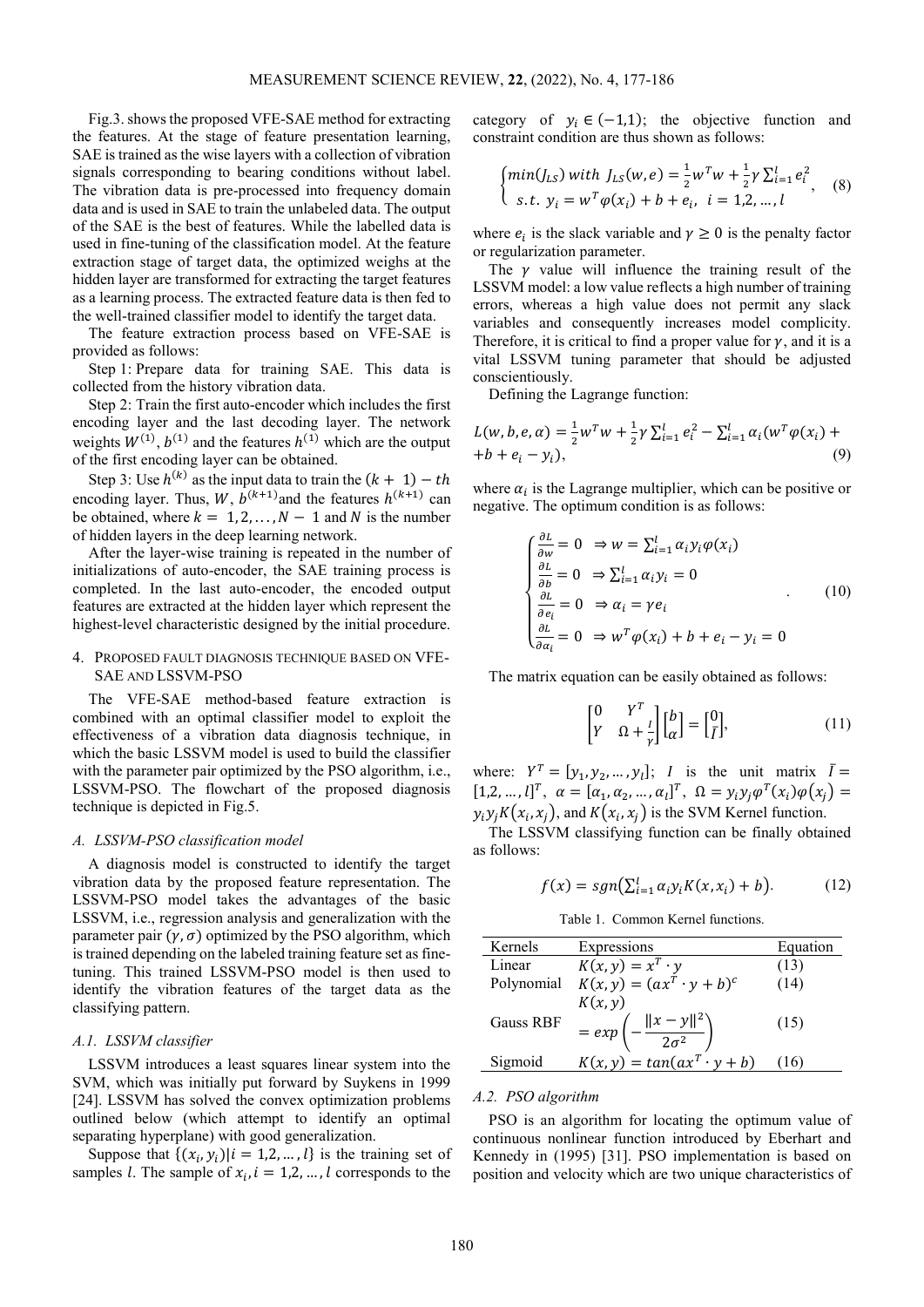Fig.3. shows the proposed VFE-SAE method for extracting the features. At the stage of feature presentation learning, SAE is trained as the wise layers with a collection of vibration signals corresponding to bearing conditions without label. The vibration data is pre-processed into frequency domain data and is used in SAE to train the unlabeled data. The output of the SAE is the best of features. While the labelled data is used in fine-tuning of the classification model. At the feature extraction stage of target data, the optimized weighs at the hidden layer are transformed for extracting the target features as a learning process. The extracted feature data is then fed to the well-trained classifier model to identify the target data.

The feature extraction process based on VFE-SAE is provided as follows:

Step 1: Prepare data for training SAE. This data is collected from the history vibration data.

Step 2: Train the first auto-encoder which includes the first encoding layer and the last decoding layer. The network weights  $W^{(1)}$ ,  $b^{(1)}$  and the features  $h^{(1)}$  which are the output of the first encoding layer can be obtained.

Step 3: Use  $h^{(k)}$  as the input data to train the  $(k + 1) - th$ encoding layer. Thus,  $W$ ,  $b^{(k+1)}$  and the features  $h^{(k+1)}$  can be obtained, where  $k = 1, 2, ..., N - 1$  and N is the number of hidden layers in the deep learning network.

After the layer-wise training is repeated in the number of initializations of auto-encoder, the SAE training process is completed. In the last auto-encoder, the encoded output features are extracted at the hidden layer which represent the highest-level characteristic designed by the initial procedure.

# 4. PROPOSED FAULT DIAGNOSIS TECHNIQUE BASED ON VFE-SAE AND LSSVM-PSO

The VFE-SAE method-based feature extraction is combined with an optimal classifier model to exploit the effectiveness of a vibration data diagnosis technique, in which the basic LSSVM model is used to build the classifier with the parameter pair optimized by the PSO algorithm, i.e., LSSVM-PSO. The flowchart of the proposed diagnosis technique is depicted in Fig.5.

## *A. LSSVM-PSO classification model*

A diagnosis model is constructed to identify the target vibration data by the proposed feature representation. The LSSVM-PSO model takes the advantages of the basic LSSVM, i.e., regression analysis and generalization with the parameter pair  $(\gamma, \sigma)$  optimized by the PSO algorithm, which is trained depending on the labeled training feature set as finetuning. This trained LSSVM-PSO model is then used to identify the vibration features of the target data as the classifying pattern.

## *A.1. LSSVM classifier*

LSSVM introduces a least squares linear system into the SVM, which was initially put forward by Suykens in 1999 [\[24\]](#page-9-0). LSSVM has solved the convex optimization problems outlined below (which attempt to identify an optimal separating hyperplane) with good generalization.

Suppose that  $\{(x_i, y_i) | i = 1, 2, \dots, l\}$  is the training set of samples *l*. The sample of  $x_i$ ,  $i = 1,2,...,l$  corresponds to the category of  $y_i \in (-1,1)$ ; the objective function and constraint condition are thus shown as follows:

$$
\begin{cases} min(J_{LS}) \text{ with } J_{LS}(w, e) = \frac{1}{2} w^T w + \frac{1}{2} \gamma \sum_{i=1}^l e_i^2\\ \text{s.t. } y_i = w^T \varphi(x_i) + b + e_i, \quad i = 1, 2, \dots, l \end{cases} (8)
$$

where  $e_i$  is the slack variable and  $\gamma \geq 0$  is the penalty factor or regularization parameter.

The  $\nu$  value will influence the training result of the LSSVM model: a low value reflects a high number of training errors, whereas a high value does not permit any slack variables and consequently increases model complicity. Therefore, it is critical to find a proper value for  $\gamma$ , and it is a vital LSSVM tuning parameter that should be adjusted conscientiously.

Defining the Lagrange function:

$$
L(w, b, e, \alpha) = \frac{1}{2} w^T w + \frac{1}{2} \gamma \sum_{i=1}^l e_i^2 - \sum_{i=1}^l \alpha_i (w^T \varphi(x_i) +
$$
  
+*b* + *e*<sub>i</sub> - *y*<sub>i</sub>), (9)

where  $\alpha_i$  is the Lagrange multiplier, which can be positive or negative. The optimum condition is as follows:

$$
\begin{cases}\n\frac{\partial L}{\partial w} = 0 & \Rightarrow w = \sum_{i=1}^{l} \alpha_i y_i \varphi(x_i) \\
\frac{\partial L}{\partial b} = 0 & \Rightarrow \sum_{i=1}^{l} \alpha_i y_i = 0 \\
\frac{\partial L}{\partial e_i} = 0 & \Rightarrow \alpha_i = \gamma e_i \\
\frac{\partial L}{\partial \alpha_i} = 0 & \Rightarrow w^T \varphi(x_i) + b + e_i - y_i = 0\n\end{cases} (10)
$$

The matrix equation can be easily obtained as follows:

$$
\begin{bmatrix} 0 & Y^T \\ Y & \Omega + \frac{I}{\gamma} \end{bmatrix} \begin{bmatrix} b \\ \alpha \end{bmatrix} = \begin{bmatrix} 0 \\ \overline{I} \end{bmatrix},\tag{11}
$$

where:  $Y^T = [y_1, y_2, ..., y_l]$ ; *I* is the unit matrix  $\overline{I} =$  $[1,2,...,l]^T$ ,  $\alpha = [\alpha_1, \alpha_2, ..., \alpha_l]^T$ ,  $\Omega = y_i y_j \varphi^T(x_i) \varphi(x_j) =$  $y_i y_j K(x_i, x_j)$ , and  $K(x_i, x_j)$  is the SVM Kernel function.

The LSSVM classifying function can be finally obtained as follows:

$$
f(x) = sgn(\sum_{i=1}^{l} \alpha_i y_i K(x, x_i) + b).
$$
 (12)

Table 1. Common Kernel functions.

| Kernels    | Expressions                                      | Equation |
|------------|--------------------------------------------------|----------|
| Linear     | $K(x, y) = x^T \cdot y$                          | (13)     |
| Polynomial | $K(x, y) = (axT \cdot y + b)c$                   | (14)     |
|            | K(x, y)                                          |          |
| Gauss RBF  | $= exp\left(-\frac{\ x-y\ ^2}{2\sigma^2}\right)$ | (15)     |
|            |                                                  |          |
| Sigmoid    | $K(x, y) = tan(ax^T \cdot y + b)$                | 16)      |

#### *A.2. PSO algorithm*

PSO is an algorithm for locating the optimum value of continuous nonlinear function introduced by Eberhart and Kennedy in (1995) [31]. PSO implementation is based on position and velocity which are two unique characteristics of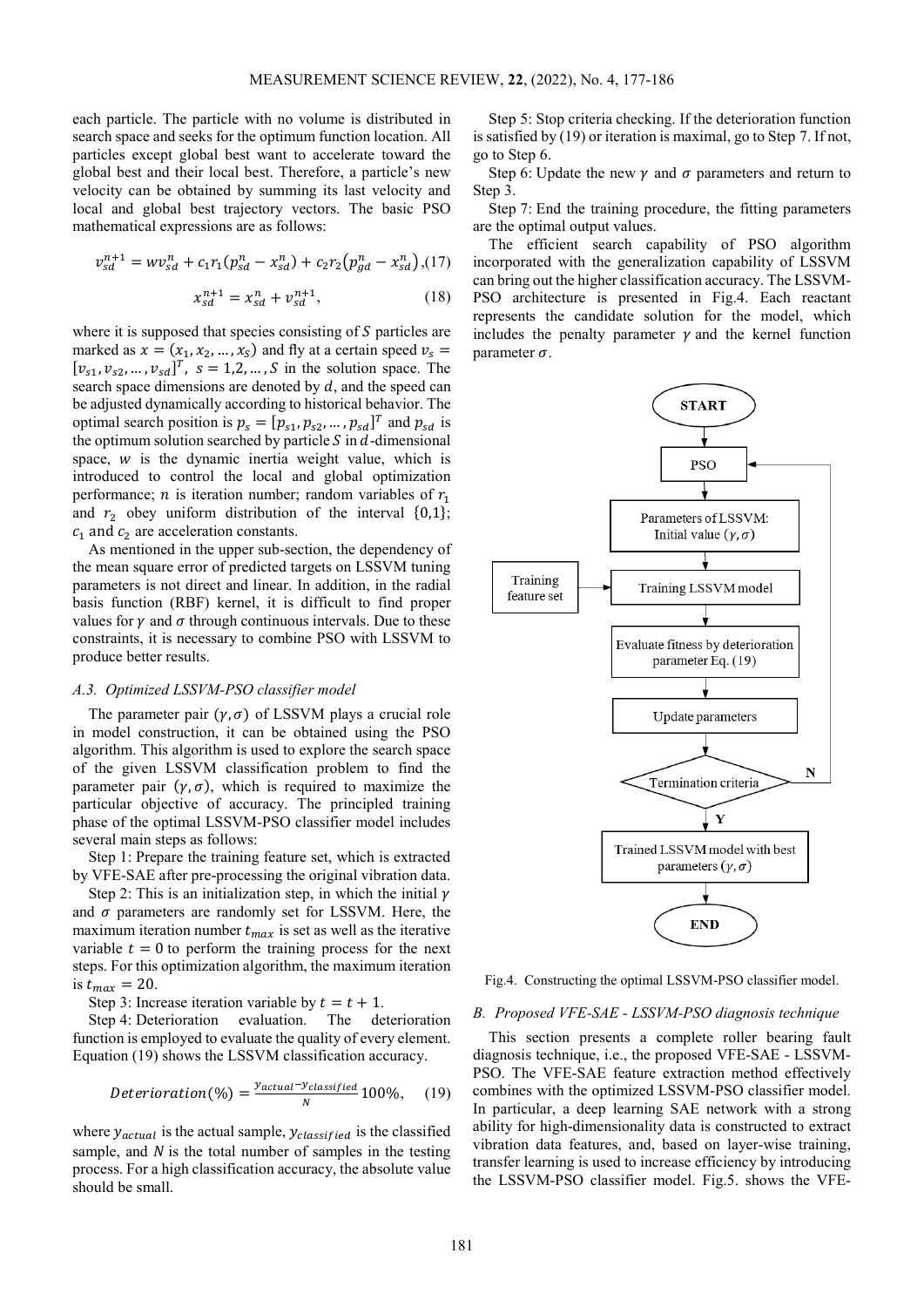each particle. The particle with no volume is distributed in search space and seeks for the optimum function location. All particles except global best want to accelerate toward the global best and their local best. Therefore, a particle's new velocity can be obtained by summing its last velocity and local and global best trajectory vectors. The basic PSO mathematical expressions are as follows:

$$
v_{sd}^{n+1} = w v_{sd}^n + c_1 r_1 (p_{sd}^n - x_{sd}^n) + c_2 r_2 (p_{gd}^n - x_{sd}^n) (17)
$$

$$
x_{sd}^{n+1} = x_{sd}^n + v_{sd}^{n+1},\tag{18}
$$

where it is supposed that species consisting of  $S$  particles are marked as  $x = (x_1, x_2, ..., x_s)$  and fly at a certain speed  $v_s =$  $[v_{s1}, v_{s2}, ..., v_{sd}]^{T}$ ,  $s = 1,2, ..., S$  in the solution space. The search space dimensions are denoted by  $d$ , and the speed can be adjusted dynamically according to historical behavior. The optimal search position is  $p_s = [p_{s1}, p_{s2}, ..., p_{sd}]^T$  and  $p_{sd}$  is the optimum solution searched by particle  $S$  in  $d$ -dimensional space,  $w$  is the dynamic inertia weight value, which is introduced to control the local and global optimization performance; *n* is iteration number; random variables of  $r_1$ and  $r_2$  obey uniform distribution of the interval  $\{0,1\}$ ;  $c_1$  and  $c_2$  are acceleration constants.

As mentioned in the upper sub-section, the dependency of the mean square error of predicted targets on LSSVM tuning parameters is not direct and linear. In addition, in the radial basis function (RBF) kernel, it is difficult to find proper values for  $\gamma$  and  $\sigma$  through continuous intervals. Due to these constraints, it is necessary to combine PSO with LSSVM to produce better results.

# *A.3. Optimized LSSVM-PSO classifier model*

The parameter pair  $(\gamma, \sigma)$  of LSSVM plays a crucial role in model construction, it can be obtained using the PSO algorithm. This algorithm is used to explore the search space of the given LSSVM classification problem to find the parameter pair  $(\gamma, \sigma)$ , which is required to maximize the particular objective of accuracy. The principled training phase of the optimal LSSVM-PSO classifier model includes several main steps as follows:

Step 1: Prepare the training feature set, which is extracted by VFE-SAE after pre-processing the original vibration data.

Step 2: This is an initialization step, in which the initial  $\gamma$ and  $\sigma$  parameters are randomly set for LSSVM. Here, the maximum iteration number  $t_{max}$  is set as well as the iterative variable  $t = 0$  to perform the training process for the next steps. For this optimization algorithm, the maximum iteration is  $t_{max} = 20$ .

Step 3: Increase iteration variable by  $t = t + 1$ .

Step 4: Deterioration evaluation. The deterioration function is employed to evaluate the quality of every element. Equation (19) shows the LSSVM classification accuracy.

$$
Determination (%) = \frac{y_{actual} - y_{classified}}{N} 100\%, \quad (19)
$$

where  $y_{actual}$  is the actual sample,  $y_{classified}$  is the classified sample, and  $N$  is the total number of samples in the testing process. For a high classification accuracy, the absolute value should be small.

Step 5: Stop criteria checking. If the deterioration function is satisfied by (19) or iteration is maximal, go to Step 7. If not, go to Step 6.

Step 6: Update the new  $\gamma$  and  $\sigma$  parameters and return to Step 3.

Step 7: End the training procedure, the fitting parameters are the optimal output values.

The efficient search capability of PSO algorithm incorporated with the generalization capability of LSSVM can bring out the higher classification accuracy. The LSSVM-PSO architecture is presented in Fig.4. Each reactant represents the candidate solution for the model, which includes the penalty parameter  $\gamma$  and the kernel function parameter  $\sigma$ .



Fig.4. Constructing the optimal LSSVM-PSO classifier model.

#### *B. Proposed VFE-SAE - LSSVM-PSO diagnosis technique*

This section presents a complete roller bearing fault diagnosis technique, i.e., the proposed VFE-SAE - LSSVM-PSO. The VFE-SAE feature extraction method effectively combines with the optimized LSSVM-PSO classifier model. In particular, a deep learning SAE network with a strong ability for high-dimensionality data is constructed to extract vibration data features, and, based on layer-wise training, transfer learning is used to increase efficiency by introducing the LSSVM-PSO classifier model. Fig.5. shows the VFE-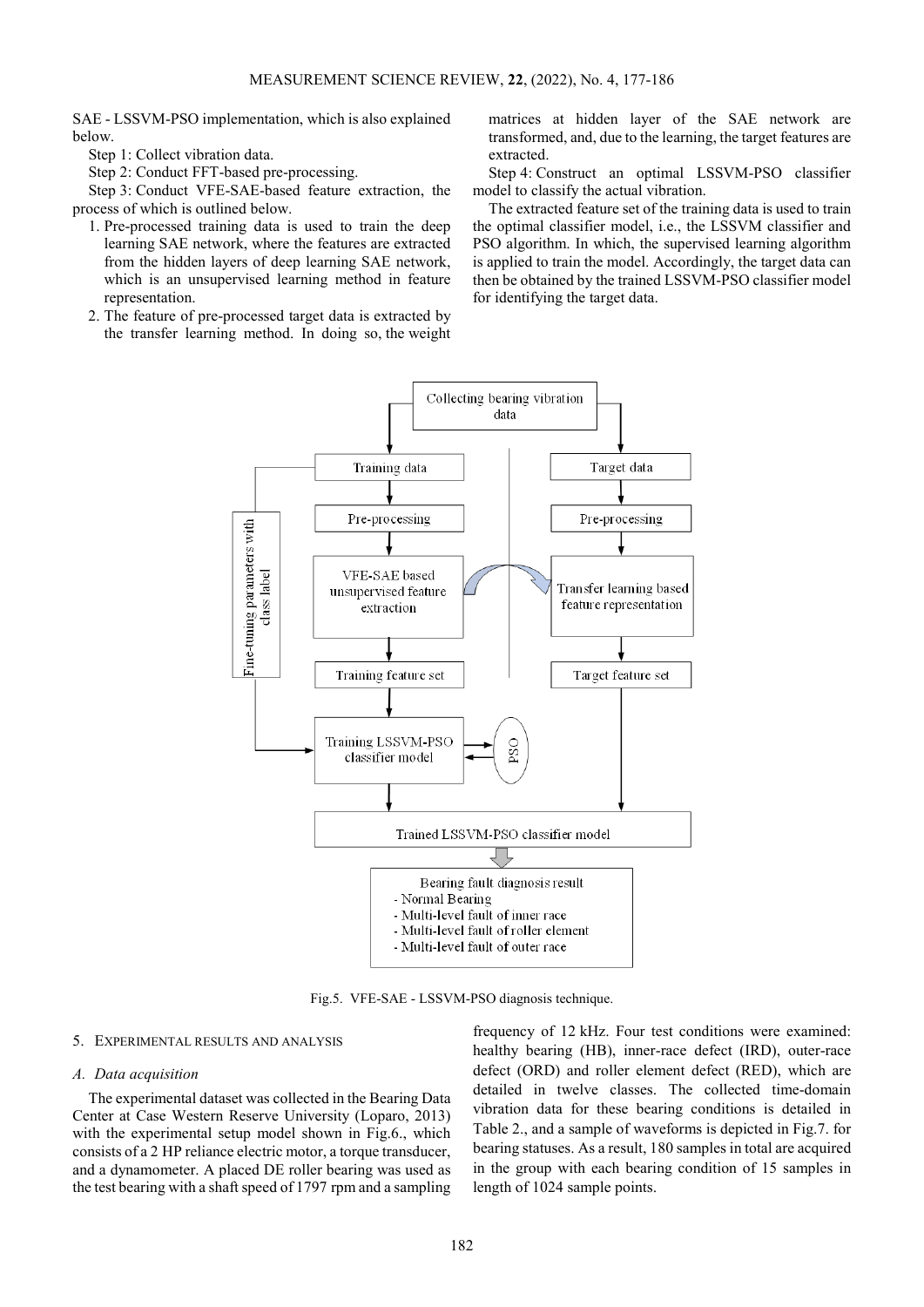SAE - LSSVM-PSO implementation, which is also explained below.

Step 1: Collect vibration data.

Step 2: Conduct FFT-based pre-processing.

Step 3: Conduct VFE-SAE-based feature extraction, the process of which is outlined below.

- 1. Pre-processed training data is used to train the deep learning SAE network, where the features are extracted from the hidden layers of deep learning SAE network, which is an unsupervised learning method in feature representation.
- 2. The feature of pre-processed target data is extracted by the transfer learning method. In doing so, the weight

matrices at hidden layer of the SAE network are transformed, and, due to the learning, the target features are extracted.

Step 4: Construct an optimal LSSVM-PSO classifier model to classify the actual vibration.

The extracted feature set of the training data is used to train the optimal classifier model, i.e., the LSSVM classifier and PSO algorithm. In which, the supervised learning algorithm is applied to train the model. Accordingly, the target data can then be obtained by the trained LSSVM-PSO classifier model for identifying the target data.



Fig.5. VFE-SAE - LSSVM-PSO diagnosis technique.

#### 5. EXPERIMENTAL RESULTS AND ANALYSIS

## *A. Data acquisition*

The experimental dataset was collected in the Bearing Data Center at Case Western Reserve University (Loparo, 2013) with the experimental setup model shown in Fig.6., which consists of a 2 HP reliance electric motor, a torque transducer, and a dynamometer. A placed DE roller bearing was used as the test bearing with a shaft speed of 1797 rpm and a sampling

frequency of 12 kHz. Four test conditions were examined: healthy bearing (HB), inner-race defect (IRD), outer-race defect (ORD) and roller element defect (RED), which are detailed in twelve classes. The collected time-domain vibration data for these bearing conditions is detailed in Table 2., and a sample of waveforms is depicted in Fig.7. for bearing statuses. As a result, 180 samples in total are acquired in the group with each bearing condition of 15 samples in length of 1024 sample points.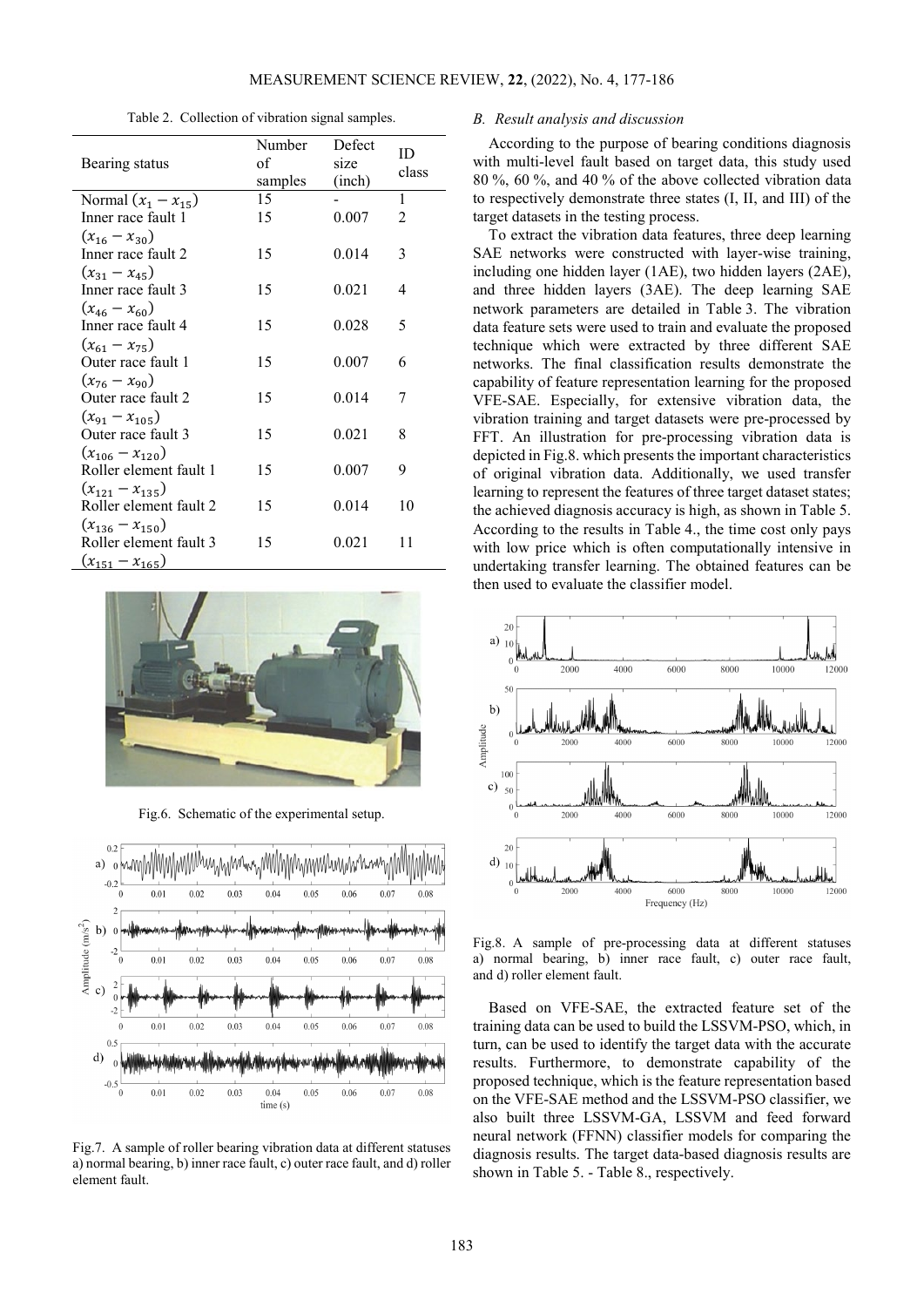Table 2. Collection of vibration signal samples.

|                         | Number  | Defect | ID             |
|-------------------------|---------|--------|----------------|
| Bearing status          | of      | size   | class          |
|                         | samples | (inch) |                |
| Normal $(x_1 - x_{15})$ | 15      |        | 1              |
| Inner race fault 1      | 15      | 0.007  | $\overline{2}$ |
| $(x_{16} - x_{30})$     |         |        |                |
| Inner race fault 2      | 15      | 0.014  | 3              |
| $(x_{31} - x_{45})$     |         |        |                |
| Inner race fault 3      | 15      | 0.021  | 4              |
| $(x_{46} - x_{60})$     |         |        |                |
| Inner race fault 4      | 15      | 0.028  | 5              |
| $(x_{61} - x_{75})$     |         |        |                |
| Outer race fault 1      | 15      | 0.007  | 6              |
| $(x_{76} - x_{90})$     |         |        |                |
| Outer race fault 2      | 15      | 0.014  | 7              |
| $(x_{91} - x_{105})$    |         |        |                |
| Outer race fault 3      | 15      | 0.021  | 8              |
| $(x_{106} - x_{120})$   |         |        |                |
| Roller element fault 1  | 15      | 0.007  | 9              |
| $(x_{121} - x_{135})$   |         |        |                |
| Roller element fault 2  | 15      | 0.014  | 10             |
| $(x_{136} - x_{150})$   |         |        |                |
| Roller element fault 3  | 15      | 0.021  | 11             |
| $(x_{151} - x_{165})$   |         |        |                |



Fig.6. Schematic of the experimental setup.



Fig.7. A sample of roller bearing vibration data at different statuses a) normal bearing, b) inner race fault, c) outer race fault, and d) roller element fault.

# *B. Result analysis and discussion*

According to the purpose of bearing conditions diagnosis with multi-level fault based on target data, this study used 80 %, 60 %, and 40 % of the above collected vibration data to respectively demonstrate three states (I, II, and III) of the target datasets in the testing process.

To extract the vibration data features, three deep learning SAE networks were constructed with layer-wise training, including one hidden layer (1AE), two hidden layers (2AE), and three hidden layers (3AE). The deep learning SAE network parameters are detailed in Table 3. The vibration data feature sets were used to train and evaluate the proposed technique which were extracted by three different SAE networks. The final classification results demonstrate the capability of feature representation learning for the proposed VFE-SAE. Especially, for extensive vibration data, the vibration training and target datasets were pre-processed by FFT. An illustration for pre-processing vibration data is depicted in Fig.8. which presents the important characteristics of original vibration data. Additionally, we used transfer learning to represent the features of three target dataset states; the achieved diagnosis accuracy is high, as shown in Table 5. According to the results in Table 4., the time cost only pays with low price which is often computationally intensive in undertaking transfer learning. The obtained features can be then used to evaluate the classifier model.



Fig.8. A sample of pre-processing data at different statuses a) normal bearing, b) inner race fault, c) outer race fault, and d) roller element fault.

Based on VFE-SAE, the extracted feature set of the training data can be used to build the LSSVM-PSO, which, in turn, can be used to identify the target data with the accurate results. Furthermore, to demonstrate capability of the proposed technique, which is the feature representation based on the VFE-SAE method and the LSSVM-PSO classifier, we also built three LSSVM-GA, LSSVM and feed forward neural network (FFNN) classifier models for comparing the diagnosis results. The target data-based diagnosis results are shown in Table 5. - Table 8., respectively.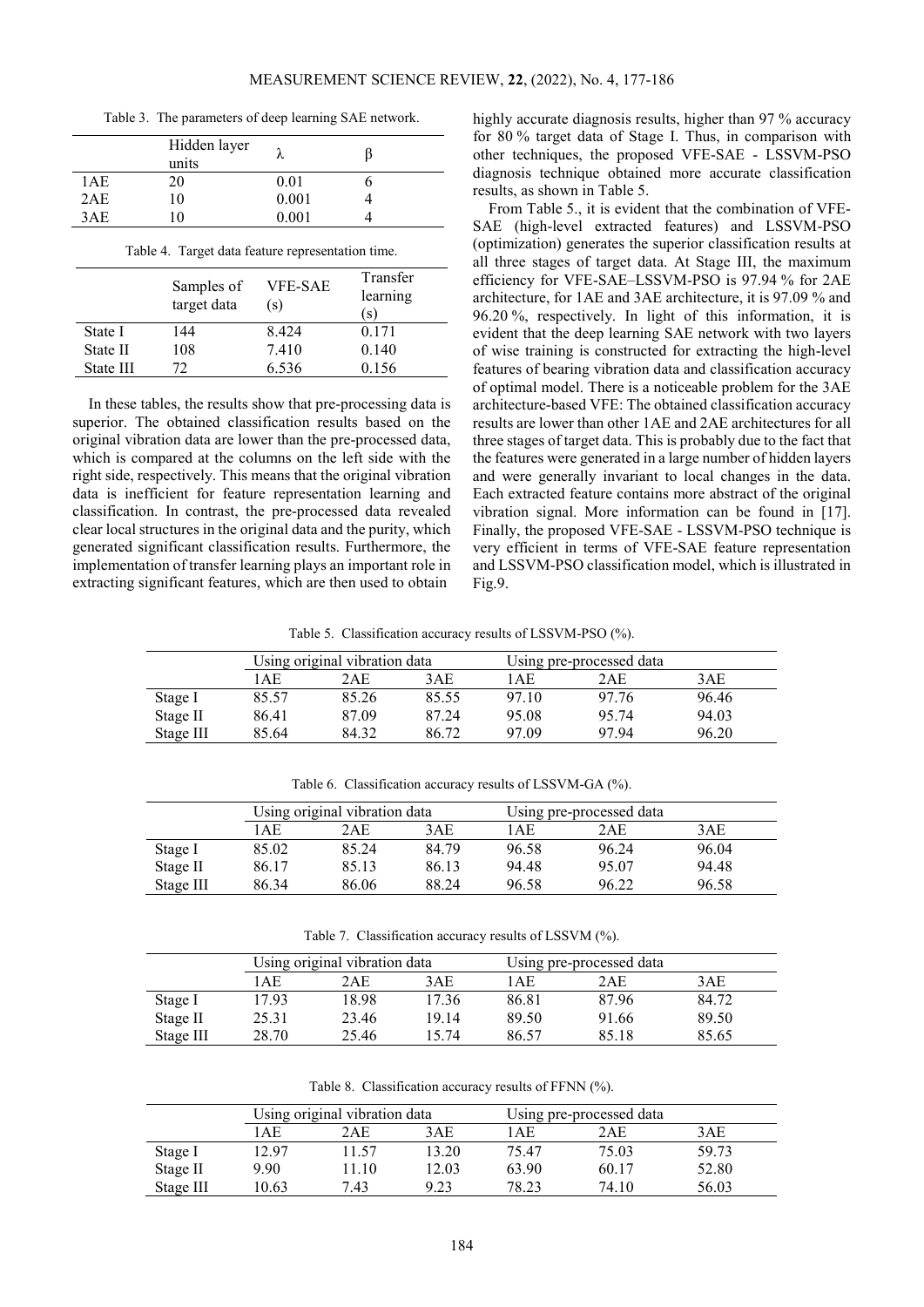Table 3. The parameters of deep learning SAE network.

|       | Hidden layer<br>units |       |  |
|-------|-----------------------|-------|--|
| 1 A E | 20                    | 0.01  |  |
| 2AE   | 10                    | 0.001 |  |
| 3AE   | $\theta$              | 0.001 |  |

Table 4. Target data feature representation time.

|           | Samples of<br>target data | <b>VFE-SAE</b><br>(s) | Transfer<br>learning<br>(s) |
|-----------|---------------------------|-----------------------|-----------------------------|
| State I   | 144                       | 8424                  | 0.171                       |
| State II  | 108                       | 7.410                 | 0.140                       |
| State III | 72                        | 6.536                 | 0.156                       |

In these tables, the results show that pre-processing data is superior. The obtained classification results based on the original vibration data are lower than the pre-processed data, which is compared at the columns on the left side with the right side, respectively. This means that the original vibration data is inefficient for feature representation learning and classification. In contrast, the pre-processed data revealed clear local structures in the original data and the purity, which generated significant classification results. Furthermore, the implementation of transfer learning plays an important role in extracting significant features, which are then used to obtain

highly accurate diagnosis results, higher than 97 % accuracy for 80 % target data of Stage I. Thus, in comparison with other techniques, the proposed VFE-SAE - LSSVM-PSO diagnosis technique obtained more accurate classification results, as shown in Table 5.

From Table 5., it is evident that the combination of VFE-SAE (high-level extracted features) and LSSVM-PSO (optimization) generates the superior classification results at all three stages of target data. At Stage III, the maximum efficiency for VFE-SAE–LSSVM-PSO is 97.94 % for 2AE architecture, for 1AE and 3AE architecture, it is 97.09 % and 96.20 %, respectively. In light of this information, it is evident that the deep learning SAE network with two layers of wise training is constructed for extracting the high-level features of bearing vibration data and classification accuracy of optimal model. There is a noticeable problem for the 3AE architecture-based VFE: The obtained classification accuracy results are lower than other 1AE and 2AE architectures for all three stages of target data. This is probably due to the fact that the features were generated in a large number of hidden layers and were generally invariant to local changes in the data. Each extracted feature contains more abstract of the original vibration signal. More information can be found in [17]. Finally, the proposed VFE-SAE - LSSVM-PSO technique is very efficient in terms of VFE-SAE feature representation and LSSVM-PSO classification model, which is illustrated in Fig.9.

Table 5. Classification accuracy results of LSSVM-PSO (%).

|           | Using original vibration data |       |       | Using pre-processed data |       |       |
|-----------|-------------------------------|-------|-------|--------------------------|-------|-------|
|           | AE                            | 2AE   | 3AE   | AE                       | 2AE   | 3AE   |
| Stage I   | 85.57                         | 85.26 | 85.55 | 97 10                    | 97 76 | 96.46 |
| Stage II  | 86.41                         | 87.09 | 87 24 | 95.08                    | 95 74 | 94.03 |
| Stage III | 85.64                         | 84 32 | 86 72 | 97.09                    | 9794  | 96.20 |

Table 6. Classification accuracy results of LSSVM-GA (%).

|           | Using original vibration data |       | Using pre-processed data |       |       |       |
|-----------|-------------------------------|-------|--------------------------|-------|-------|-------|
|           | AE                            | 2AE   | 3AE                      | l AE  | 2AE   | 3AE   |
| Stage I   | 85.02                         | 85.24 | 84.79                    | 96.58 | 96.24 | 96.04 |
| Stage II  | 86.17                         | 85.13 | 86 13                    | 94.48 | 95.07 | 94.48 |
| Stage III | 86.34                         | 86.06 | 88.24                    | 96.58 | 96.22 | 96.58 |

Table 7. Classification accuracy results of LSSVM (%).

|           | Using original vibration data |       | Using pre-processed data |       |       |       |
|-----------|-------------------------------|-------|--------------------------|-------|-------|-------|
|           | AE.                           | 2AE   | 3AE                      | AE.   | 2AE   | 3AE   |
| Stage I   | 7.93                          | 18.98 | 17.36                    | 86.81 | 8796  | 84.72 |
| Stage II  | 25.31                         | 23.46 | 19 14                    | 89.50 | 91.66 | 89.50 |
| Stage III | 28.70                         | 25.46 | 15 74                    | 86.57 | 85.18 | 85.65 |

Table 8. Classification accuracy results of FFNN (%).

|           | Using original vibration data |       | Using pre-processed data |       |       |       |
|-----------|-------------------------------|-------|--------------------------|-------|-------|-------|
|           | AE                            | 2 A E | 3 A E                    | 1 A E | 2AE   | 3AE   |
| Stage I   | 12 97                         | 11.57 | 13.20                    | 75.47 | 75.03 | 59.73 |
| Stage II  | 9.90                          | 1.10  | 12.03                    | 63.90 | 60.17 | 52.80 |
| Stage III | 10.63                         | 7.43  | 9.23                     | 78.23 | 74 10 | 56.03 |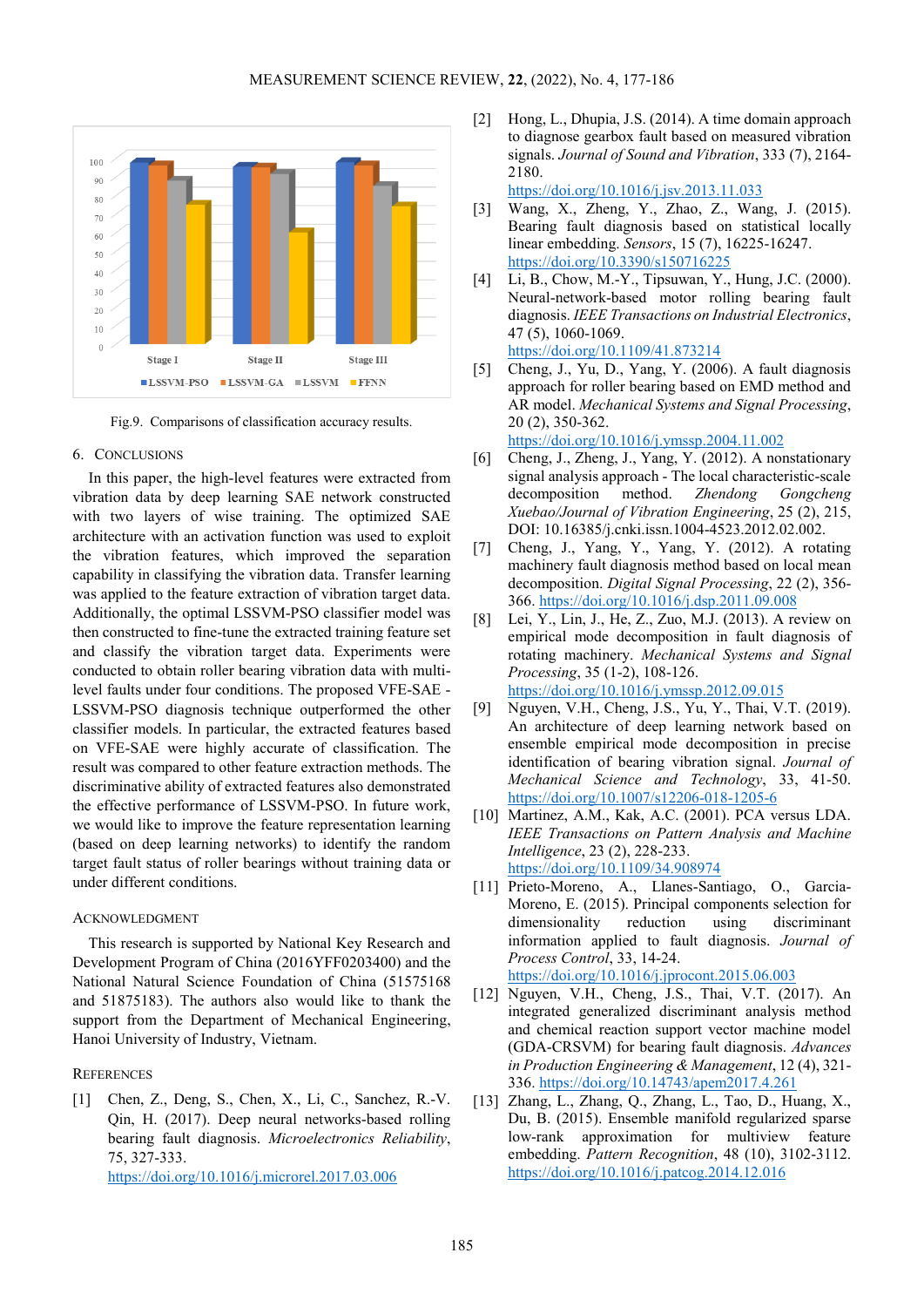

Fig.9. Comparisons of classification accuracy results.

## 6. CONCLUSIONS

In this paper, the high-level features were extracted from vibration data by deep learning SAE network constructed with two layers of wise training. The optimized SAE architecture with an activation function was used to exploit the vibration features, which improved the separation capability in classifying the vibration data. Transfer learning was applied to the feature extraction of vibration target data. Additionally, the optimal LSSVM-PSO classifier model was then constructed to fine-tune the extracted training feature set and classify the vibration target data. Experiments were conducted to obtain roller bearing vibration data with multilevel faults under four conditions. The proposed VFE-SAE - LSSVM-PSO diagnosis technique outperformed the other classifier models. In particular, the extracted features based on VFE-SAE were highly accurate of classification. The result was compared to other feature extraction methods. The discriminative ability of extracted features also demonstrated the effective performance of LSSVM-PSO. In future work, we would like to improve the feature representation learning (based on deep learning networks) to identify the random target fault status of roller bearings without training data or under different conditions.

## ACKNOWLEDGMENT

This research is supported by National Key Research and Development Program of China (2016YFF0203400) and the National Natural Science Foundation of China (51575168 and 51875183). The authors also would like to thank the support from the Department of Mechanical Engineering, Hanoi University of Industry, Vietnam.

## **REFERENCES**

[1] Chen, Z., Deng, S., Chen, X., Li, C., Sanchez, R.-V. Qin, H. (2017). Deep neural networks-based rolling bearing fault diagnosis. *Microelectronics Reliability*, 75, 327-333. <https://doi.org/10.1016/j.microrel.2017.03.006>

[2] Hong, L., Dhupia, J.S. (2014). A time domain approach to diagnose gearbox fault based on measured vibration signals. *Journal of Sound and Vibration*, 333 (7), 2164- 2180.

<https://doi.org/10.1016/j.jsv.2013.11.033>

- [3] Wang, X., Zheng, Y., Zhao, Z., Wang, J. (2015). Bearing fault diagnosis based on statistical locally linear embedding. *Sensors*, 15 (7), 16225-16247. <https://doi.org/10.3390/s150716225>
- [4] Li, B., Chow, M.-Y., Tipsuwan, Y., Hung, J.C. (2000). Neural-network-based motor rolling bearing fault diagnosis. *IEEE Transactions on Industrial Electronics*, 47 (5), 1060-1069. <https://doi.org/10.1109/41.873214>
- [5] Cheng, J., Yu, D., Yang, Y. (2006). A fault diagnosis approach for roller bearing based on EMD method and AR model. *Mechanical Systems and Signal Processing*, 20 (2), 350-362. <https://doi.org/10.1016/j.ymssp.2004.11.002>

[6] Cheng, J., Zheng, J., Yang, Y. (2012). A nonstationary

- signal analysis approach The local characteristic-scale decomposition method. *Zhendong Gongcheng Xuebao/Journal of Vibration Engineering*, 25 (2), 215, DOI: 10.16385/j.cnki.issn.1004-4523.2012.02.002.
- [7] Cheng, J., Yang, Y., Yang, Y. (2012). A rotating machinery fault diagnosis method based on local mean decomposition. *Digital Signal Processing*, 22 (2), 356- 366[. https://doi.org/10.1016/j.dsp.2011.09.008](https://doi.org/10.1016/j.dsp.2011.09.008)
- [8] Lei, Y., Lin, J., He, Z., Zuo, M.J. (2013). A review on empirical mode decomposition in fault diagnosis of rotating machinery. *Mechanical Systems and Signal Processing*, 35 (1-2), 108-126. <https://doi.org/10.1016/j.ymssp.2012.09.015>
- [9] Nguyen, V.H., Cheng, J.S., Yu, Y., Thai, V.T. (2019). An architecture of deep learning network based on ensemble empirical mode decomposition in precise identification of bearing vibration signal. *Journal of Mechanical Science and Technology*, 33, 41-50. <https://doi.org/10.1007/s12206-018-1205-6>
- [10] Martinez, A.M., Kak, A.C. (2001). PCA versus LDA. *IEEE Transactions on Pattern Analysis and Machine Intelligence*, 23 (2), 228-233. <https://doi.org/10.1109/34.908974>
- [11] Prieto-Moreno, A., Llanes-Santiago, O., Garcia-Moreno, E. (2015). Principal components selection for dimensionality reduction using discriminant information applied to fault diagnosis. *Journal of Process Control*, 33, 14-24. <https://doi.org/10.1016/j.jprocont.2015.06.003>
- [12] Nguyen, V.H., Cheng, J.S., Thai, V.T. (2017). An integrated generalized discriminant analysis method and chemical reaction support vector machine model (GDA-CRSVM) for bearing fault diagnosis. *Advances in Production Engineering & Management*, 12 (4), 321- 336. <https://doi.org/10.14743/apem2017.4.261>
- [13] Zhang, L., Zhang, Q., Zhang, L., Tao, D., Huang, X., Du, B. (2015). Ensemble manifold regularized sparse low-rank approximation for multiview feature embedding. *Pattern Recognition*, 48 (10), 3102-3112. <https://doi.org/10.1016/j.patcog.2014.12.016>